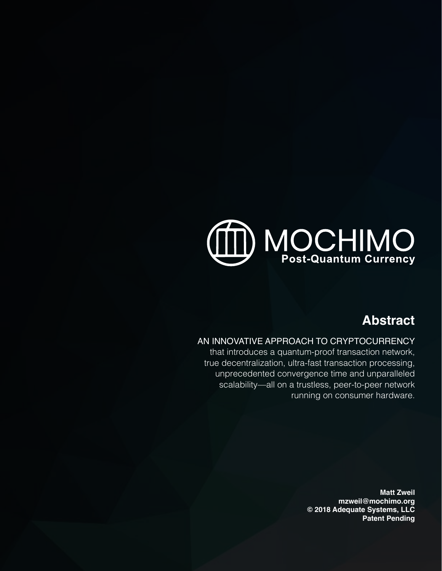## D MOCHIMO **Post-Quantum Currency**

### **Abstract**

#### AN INNOVATIVE APPROACH TO CRYPTOCURRENCY

that introduces a quantum-proof transaction network, true decentralization, ultra-fast transaction processing, unprecedented convergence time and unparalleled scalability—all on a trustless, peer-to-peer network running on consumer hardware.

> **Matt Zweil mzweil@mochimo.org © 2018 Adequate Systems, LLC Patent Pending**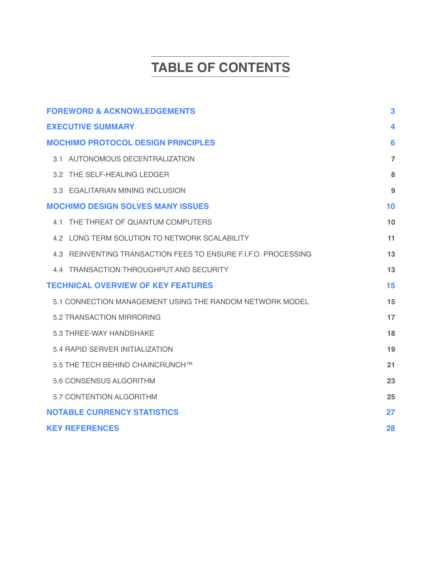## **TABLE OF CONTENTS**

| <b>FOREWORD &amp; ACKNOWLEDGEMENTS</b>                         | $\mathbf{3}$   |
|----------------------------------------------------------------|----------------|
| <b>EXECUTIVE SUMMARY</b>                                       | 4              |
| <b>MOCHIMO PROTOCOL DESIGN PRINCIPLES</b>                      | 6              |
| 3.1 AUTONOMOUS DECENTRALIZATION                                | $\overline{7}$ |
| 3.2 THE SELF-HEALING LEDGER                                    | 8              |
| 3.3 EGALITARIAN MINING INCLUSION                               | 9              |
| <b>MOCHIMO DESIGN SOLVES MANY ISSUES</b>                       | 10             |
| 4.1 THE THREAT OF OUANTUM COMPUTERS                            | 10             |
| 4.2 LONG TERM SOLUTION TO NETWORK SCALABILITY                  | 11             |
| 4.3 REINVENTING TRANSACTION FEES TO ENSURE F.I.F.O. PROCESSING | 13             |
| 4.4 TRANSACTION THROUGHPUT AND SECURITY                        | 13             |
| <b>TECHNICAL OVERVIEW OF KEY FEATURES</b>                      | 15             |
| 5.1 CONNECTION MANAGEMENT USING THE RANDOM NETWORK MODEL       | 15             |
| 5.2 TRANSACTION MIRRORING                                      | 17             |
| 5.3 THREE-WAY HANDSHAKE                                        | 18             |
| 5.4 RAPID SERVER INITIALIZATION                                | 19             |
| 5.5 THE TECH BEHIND CHAINCRUNCH™                               | 21             |
| 5.6 CONSENSUS ALGORITHM                                        | 23             |
| 5.7 CONTENTION ALGORITHM                                       | 25             |
| <b>NOTABLE CURRENCY STATISTICS</b>                             | 27             |
| <b>KEY REFERENCES</b>                                          | 28             |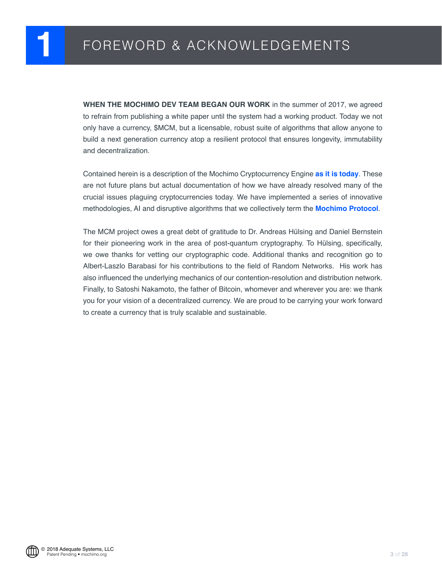<span id="page-2-0"></span>**WHEN THE MOCHIMO DEV TEAM BEGAN OUR WORK** in the summer of 2017, we agreed to refrain from publishing a white paper until the system had a working product. Today we not only have a currency, \$MCM, but a licensable, robust suite of algorithms that allow anyone to build a next generation currency atop a resilient protocol that ensures longevity, immutability and decentralization.

Contained herein is a description of the Mochimo Cryptocurrency Engine **as it is today**. These are not future plans but actual documentation of how we have already resolved many of the crucial issues plaguing cryptocurrencies today. We have implemented a series of innovative methodologies, AI and disruptive algorithms that we collectively term the **Mochimo Protocol**.

The MCM project owes a great debt of gratitude to Dr. Andreas Hülsing and Daniel Bernstein for their pioneering work in the area of post-quantum cryptography. To Hülsing, specifically, we owe thanks for vetting our cryptographic code. Additional thanks and recognition go to Albert-Laszlo Barabasi for his contributions to the field of Random Networks. His work has also influenced the underlying mechanics of our contention-resolution and distribution network. Finally, to Satoshi Nakamoto, the father of Bitcoin, whomever and wherever you are: we thank you for your vision of a decentralized currency. We are proud to be carrying your work forward to create a currency that is truly scalable and sustainable.

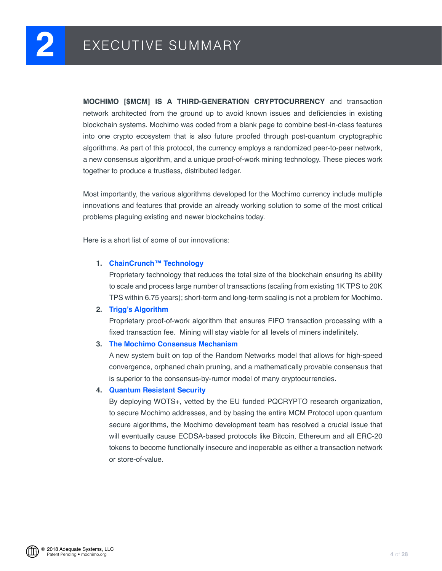<span id="page-3-0"></span>**MOCHIMO [\$MCM] IS A THIRD-GENERATION CRYPTOCURRENCY** and transaction network architected from the ground up to avoid known issues and deficiencies in existing blockchain systems. Mochimo was coded from a blank page to combine best-in-class features into one crypto ecosystem that is also future proofed through post-quantum cryptographic algorithms. As part of this protocol, the currency employs a randomized peer-to-peer network, a new consensus algorithm, and a unique proof-of-work mining technology. These pieces work together to produce a trustless, distributed ledger.

Most importantly, the various algorithms developed for the Mochimo currency include multiple innovations and features that provide an already working solution to some of the most critical problems plaguing existing and newer blockchains today.

Here is a short list of some of our innovations:

#### **1. ChainCrunch™ Technology**

Proprietary technology that reduces the total size of the blockchain ensuring its ability to scale and process large number of transactions (scaling from existing 1K TPS to 20K TPS within 6.75 years); short-term and long-term scaling is not a problem for Mochimo.

#### **2. Trigg's Algorithm**

Proprietary proof-of-work algorithm that ensures FIFO transaction processing with a fixed transaction fee. Mining will stay viable for all levels of miners indefinitely.

#### **3. The Mochimo Consensus Mechanism**

A new system built on top of the Random Networks model that allows for high-speed convergence, orphaned chain pruning, and a mathematically provable consensus that is superior to the consensus-by-rumor model of many cryptocurrencies.

#### **4. Quantum Resistant Security**

By deploying WOTS+, vetted by the EU funded PQCRYPTO research organization, to secure Mochimo addresses, and by basing the entire MCM Protocol upon quantum secure algorithms, the Mochimo development team has resolved a crucial issue that will eventually cause ECDSA-based protocols like Bitcoin, Ethereum and all ERC-20 tokens to become functionally insecure and inoperable as either a transaction network or store-of-value.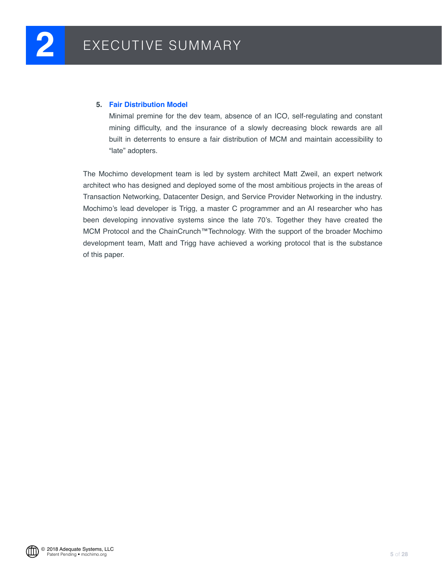#### **5. Fair Distribution Model**

Minimal premine for the dev team, absence of an ICO, self-regulating and constant mining difficulty, and the insurance of a slowly decreasing block rewards are all built in deterrents to ensure a fair distribution of MCM and maintain accessibility to "late" adopters.

The Mochimo development team is led by system architect Matt Zweil, an expert network architect who has designed and deployed some of the most ambitious projects in the areas of Transaction Networking, Datacenter Design, and Service Provider Networking in the industry. Mochimo's lead developer is Trigg, a master C programmer and an AI researcher who has been developing innovative systems since the late 70's. Together they have created the MCM Protocol and the ChainCrunch™Technology. With the support of the broader Mochimo development team, Matt and Trigg have achieved a working protocol that is the substance of this paper.

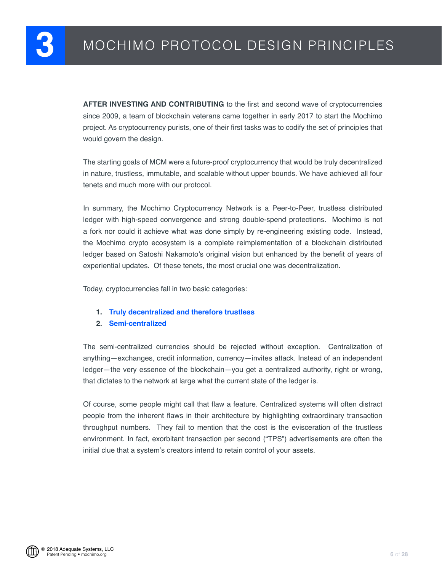<span id="page-5-0"></span>**AFTER INVESTING AND CONTRIBUTING** to the first and second wave of cryptocurrencies since 2009, a team of blockchain veterans came together in early 2017 to start the Mochimo project. As cryptocurrency purists, one of their first tasks was to codify the set of principles that would govern the design.

The starting goals of MCM were a future-proof cryptocurrency that would be truly decentralized in nature, trustless, immutable, and scalable without upper bounds. We have achieved all four tenets and much more with our protocol.

In summary, the Mochimo Cryptocurrency Network is a Peer-to-Peer, trustless distributed ledger with high-speed convergence and strong double-spend protections. Mochimo is not a fork nor could it achieve what was done simply by re-engineering existing code. Instead, the Mochimo crypto ecosystem is a complete reimplementation of a blockchain distributed ledger based on Satoshi Nakamoto's original vision but enhanced by the benefit of years of experiential updates. Of these tenets, the most crucial one was decentralization.

Today, cryptocurrencies fall in two basic categories:

- **1. Truly decentralized and therefore trustless**
- **2. Semi-centralized**

The semi-centralized currencies should be rejected without exception. Centralization of anything—exchanges, credit information, currency—invites attack. Instead of an independent ledger—the very essence of the blockchain—you get a centralized authority, right or wrong, that dictates to the network at large what the current state of the ledger is.

Of course, some people might call that flaw a feature. Centralized systems will often distract people from the inherent flaws in their architecture by highlighting extraordinary transaction throughput numbers. They fail to mention that the cost is the evisceration of the trustless environment. In fact, exorbitant transaction per second ("TPS") advertisements are often the initial clue that a system's creators intend to retain control of your assets.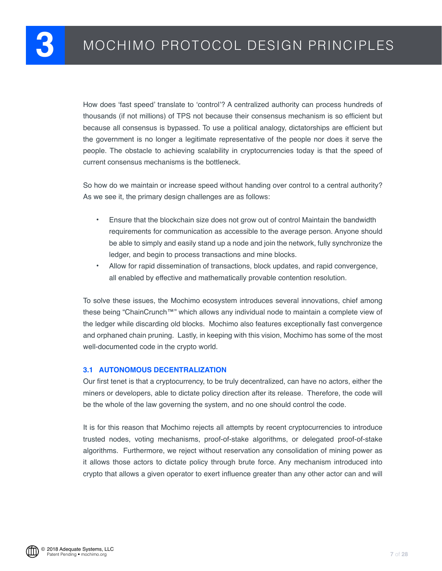<span id="page-6-0"></span>How does 'fast speed' translate to 'control'? A centralized authority can process hundreds of thousands (if not millions) of TPS not because their consensus mechanism is so efficient but because all consensus is bypassed. To use a political analogy, dictatorships are efficient but the government is no longer a legitimate representative of the people nor does it serve the people. The obstacle to achieving scalability in cryptocurrencies today is that the speed of current consensus mechanisms is the bottleneck.

So how do we maintain or increase speed without handing over control to a central authority? As we see it, the primary design challenges are as follows:

- **•** Ensure that the blockchain size does not grow out of control Maintain the bandwidth requirements for communication as accessible to the average person. Anyone should be able to simply and easily stand up a node and join the network, fully synchronize the ledger, and begin to process transactions and mine blocks.
- **•** Allow for rapid dissemination of transactions, block updates, and rapid convergence, all enabled by effective and mathematically provable contention resolution.

To solve these issues, the Mochimo ecosystem introduces several innovations, chief among these being "ChainCrunch™" which allows any individual node to maintain a complete view of the ledger while discarding old blocks. Mochimo also features exceptionally fast convergence and orphaned chain pruning. Lastly, in keeping with this vision, Mochimo has some of the most well-documented code in the crypto world.

#### **3.1 AUTONOMOUS DECENTRALIZATION**

Our first tenet is that a cryptocurrency, to be truly decentralized, can have no actors, either the miners or developers, able to dictate policy direction after its release. Therefore, the code will be the whole of the law governing the system, and no one should control the code.

It is for this reason that Mochimo rejects all attempts by recent cryptocurrencies to introduce trusted nodes, voting mechanisms, proof-of-stake algorithms, or delegated proof-of-stake algorithms. Furthermore, we reject without reservation any consolidation of mining power as it allows those actors to dictate policy through brute force. Any mechanism introduced into crypto that allows a given operator to exert influence greater than any other actor can and will

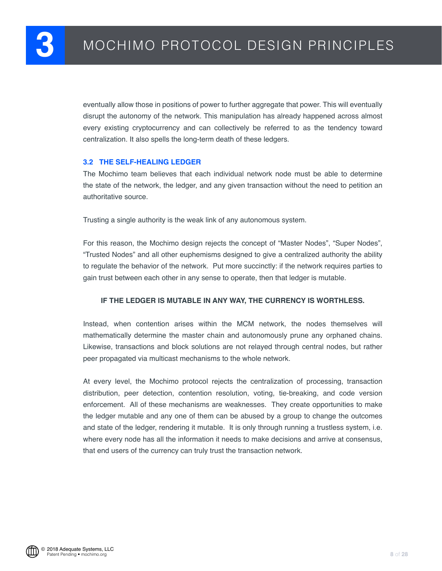<span id="page-7-0"></span>eventually allow those in positions of power to further aggregate that power. This will eventually disrupt the autonomy of the network. This manipulation has already happened across almost every existing cryptocurrency and can collectively be referred to as the tendency toward centralization. It also spells the long-term death of these ledgers.

#### **3.2 THE SELF-HEALING LEDGER**

The Mochimo team believes that each individual network node must be able to determine the state of the network, the ledger, and any given transaction without the need to petition an authoritative source.

Trusting a single authority is the weak link of any autonomous system.

For this reason, the Mochimo design rejects the concept of "Master Nodes", "Super Nodes", "Trusted Nodes" and all other euphemisms designed to give a centralized authority the ability to regulate the behavior of the network. Put more succinctly: if the network requires parties to gain trust between each other in any sense to operate, then that ledger is mutable.

#### **IF THE LEDGER IS MUTABLE IN ANY WAY, THE CURRENCY IS WORTHLESS.**

Instead, when contention arises within the MCM network, the nodes themselves will mathematically determine the master chain and autonomously prune any orphaned chains. Likewise, transactions and block solutions are not relayed through central nodes, but rather peer propagated via multicast mechanisms to the whole network.

At every level, the Mochimo protocol rejects the centralization of processing, transaction distribution, peer detection, contention resolution, voting, tie-breaking, and code version enforcement. All of these mechanisms are weaknesses. They create opportunities to make the ledger mutable and any one of them can be abused by a group to change the outcomes and state of the ledger, rendering it mutable. It is only through running a trustless system, i.e. where every node has all the information it needs to make decisions and arrive at consensus, that end users of the currency can truly trust the transaction network.

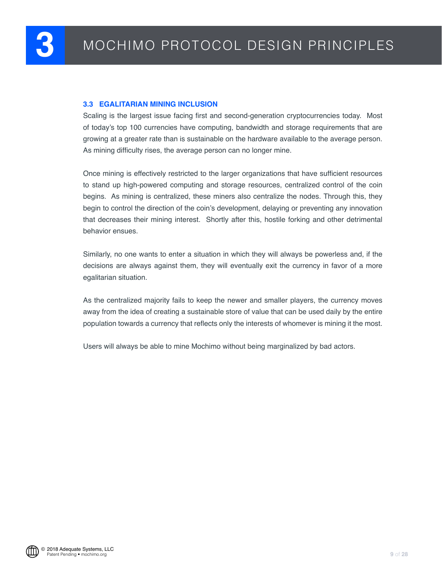#### <span id="page-8-0"></span>**3.3 EGALITARIAN MINING INCLUSION**

Scaling is the largest issue facing first and second-generation cryptocurrencies today. Most of today's top 100 currencies have computing, bandwidth and storage requirements that are growing at a greater rate than is sustainable on the hardware available to the average person. As mining difficulty rises, the average person can no longer mine.

Once mining is effectively restricted to the larger organizations that have sufficient resources to stand up high-powered computing and storage resources, centralized control of the coin begins. As mining is centralized, these miners also centralize the nodes. Through this, they begin to control the direction of the coin's development, delaying or preventing any innovation that decreases their mining interest. Shortly after this, hostile forking and other detrimental behavior ensues.

Similarly, no one wants to enter a situation in which they will always be powerless and, if the decisions are always against them, they will eventually exit the currency in favor of a more egalitarian situation.

As the centralized majority fails to keep the newer and smaller players, the currency moves away from the idea of creating a sustainable store of value that can be used daily by the entire population towards a currency that reflects only the interests of whomever is mining it the most.

Users will always be able to mine Mochimo without being marginalized by bad actors.

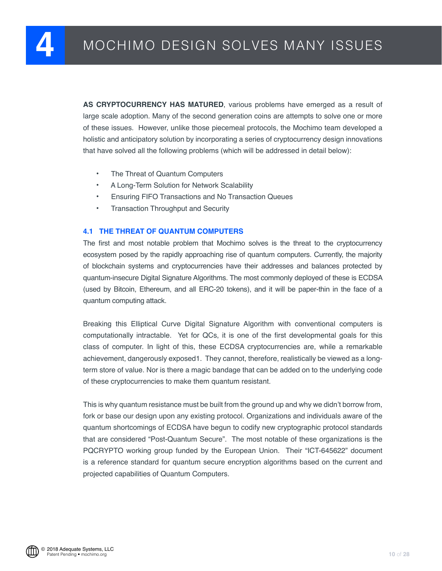<span id="page-9-0"></span>**AS CRYPTOCURRENCY HAS MATURED**, various problems have emerged as a result of large scale adoption. Many of the second generation coins are attempts to solve one or more of these issues. However, unlike those piecemeal protocols, the Mochimo team developed a holistic and anticipatory solution by incorporating a series of cryptocurrency design innovations that have solved all the following problems (which will be addressed in detail below):

- **•** The Threat of Quantum Computers
- **•** A Long-Term Solution for Network Scalability
- **•** Ensuring FIFO Transactions and No Transaction Queues
- **•** Transaction Throughput and Security

#### **4.1 THE THREAT OF QUANTUM COMPUTERS**

The first and most notable problem that Mochimo solves is the threat to the cryptocurrency ecosystem posed by the rapidly approaching rise of quantum computers. Currently, the majority of blockchain systems and cryptocurrencies have their addresses and balances protected by quantum-insecure Digital Signature Algorithms. The most commonly deployed of these is ECDSA (used by Bitcoin, Ethereum, and all ERC-20 tokens), and it will be paper-thin in the face of a quantum computing attack.

Breaking this Elliptical Curve Digital Signature Algorithm with conventional computers is computationally intractable. Yet for QCs, it is one of the first developmental goals for this class of computer. In light of this, these ECDSA cryptocurrencies are, while a remarkable achievement, dangerously exposed1. They cannot, therefore, realistically be viewed as a longterm store of value. Nor is there a magic bandage that can be added on to the underlying code of these cryptocurrencies to make them quantum resistant.

This is why quantum resistance must be built from the ground up and why we didn't borrow from, fork or base our design upon any existing protocol. Organizations and individuals aware of the quantum shortcomings of ECDSA have begun to codify new cryptographic protocol standards that are considered "Post-Quantum Secure". The most notable of these organizations is the PQCRYPTO working group funded by the European Union. Their "ICT-645622" document is a reference standard for quantum secure encryption algorithms based on the current and projected capabilities of Quantum Computers.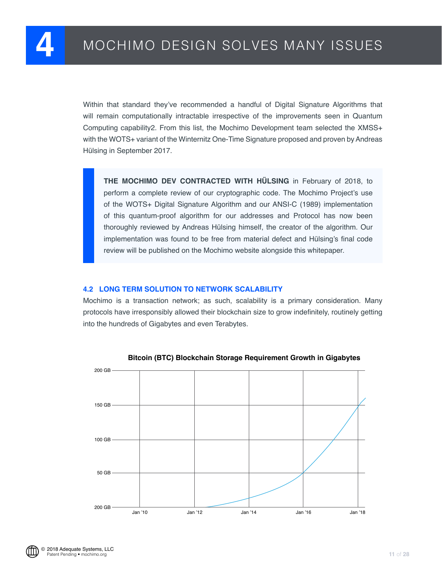<span id="page-10-0"></span>Within that standard they've recommended a handful of Digital Signature Algorithms that will remain computationally intractable irrespective of the improvements seen in Quantum Computing capability2. From this list, the Mochimo Development team selected the XMSS+ with the WOTS+ variant of the Winternitz One-Time Signature proposed and proven by Andreas Hülsing in September 2017.

perform a complete review of our cryptographic code. The Mochimo Project's use of the WOTS+ Digital Signature Algorithm and our ANSI-C (1989) implementation of this quantum-proof algorithm for our addresses and Protocol has now been Protocol has now been the protocol has now been the creator of the disposition. Surface the creator of the creator of the creator of the creator of the creator of the creator of the creator of the creator of the creator of implementation was found to be free from material defect and Hülsing's final code **review will be published on the Mochimo website alongside this whitepaper. THE MOCHIMO DEV CONTRACTED WITH HÜLSING** in February of 2018, to thoroughly reviewed by Andreas Hülsing himself, the creator of the algorithm. Our

#### **4.2 LONG TERM SOLUTION TO NETWORK SCALABILITY**

Mochimo is a transaction network; as such, scalability is a primary consideration. Many protocols have irresponsibly allowed their blockchain size to grow indefinitely, routinely getting into the hundreds of Gigabytes and even Terabytes.



**Bitcoin (BTC) Blockchain Storage Requirement Growth in Gigabytes**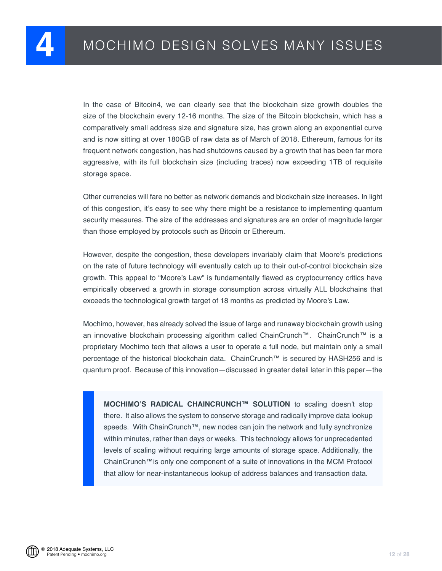In the case of Bitcoin4, we can clearly see that the blockchain size growth doubles the size of the blockchain every 12-16 months. The size of the Bitcoin blockchain, which has a comparatively small address size and signature size, has grown along an exponential curve and is now sitting at over 180GB of raw data as of March of 2018. Ethereum, famous for its frequent network congestion, has had shutdowns caused by a growth that has been far more aggressive, with its full blockchain size (including traces) now exceeding 1TB of requisite storage space.

Other currencies will fare no better as network demands and blockchain size increases. In light of this congestion, it's easy to see why there might be a resistance to implementing quantum security measures. The size of the addresses and signatures are an order of magnitude larger than those employed by protocols such as Bitcoin or Ethereum.

However, despite the congestion, these developers invariably claim that Moore's predictions on the rate of future technology will eventually catch up to their out-of-control blockchain size growth. This appeal to "Moore's Law" is fundamentally flawed as cryptocurrency critics have empirically observed a growth in storage consumption across virtually ALL blockchains that exceeds the technological growth target of 18 months as predicted by Moore's Law.

Mochimo, however, has already solved the issue of large and runaway blockchain growth using an innovative blockchain processing algorithm called ChainCrunch™. ChainCrunch™ is a proprietary Mochimo tech that allows a user to operate a full node, but maintain only a small percentage of the historical blockchain data. ChainCrunch™ is secured by HASH256 and is quantum proof. Because of this innovation—discussed in greater detail later in this paper—the

**MOCHIMO'S RADICAL CHAINCRUNCH™ SOLUTION** to scaling doesn't stop there. It also allows the system to conserve storage and radically improve data lookup speeds. With ChainCrunch™, new nodes can join the network and fully synchronize within minutes, rather than days or weeks. This technology allows for unprecedented levels of scaling without requiring large amounts of storage space. Additionally, the ChainCrunch™is only one component of a suite of innovations in the MCM Protocol that allow for near-instantaneous lookup of address balances and transaction data.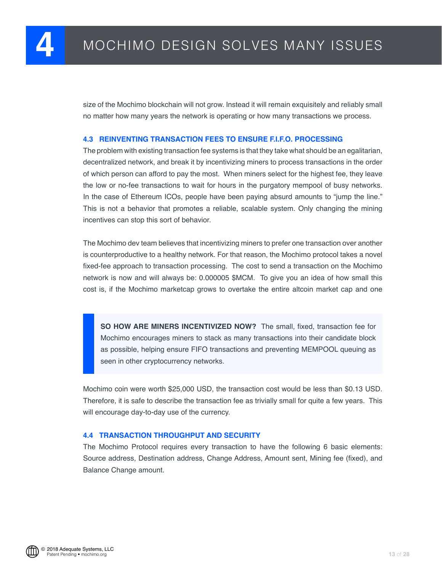<span id="page-12-0"></span>size of the Mochimo blockchain will not grow. Instead it will remain exquisitely and reliably small no matter how many years the network is operating or how many transactions we process.

#### **4.3 REINVENTING TRANSACTION FEES TO ENSURE F.I.F.O. PROCESSING**

The problem with existing transaction fee systems is that they take what should be an egalitarian, decentralized network, and break it by incentivizing miners to process transactions in the order of which person can afford to pay the most. When miners select for the highest fee, they leave the low or no-fee transactions to wait for hours in the purgatory mempool of busy networks. In the case of Ethereum ICOs, people have been paying absurd amounts to "jump the line." This is not a behavior that promotes a reliable, scalable system. Only changing the mining incentives can stop this sort of behavior.

The Mochimo dev team believes that incentivizing miners to prefer one transaction over another is counterproductive to a healthy network. For that reason, the Mochimo protocol takes a novel fixed-fee approach to transaction processing. The cost to send a transaction on the Mochimo network is now and will always be: 0.000005 \$MCM. To give you an idea of how small this cost is, if the Mochimo marketcap grows to overtake the entire altcoin market cap and one

**SO HOW ARE MINERS INCENTIVIZED NOW?** The small, fixed, transaction fee for Mochimo encourages miners to stack as many transactions into their candidate block as possible, helping ensure FIFO transactions and preventing MEMPOOL queuing as seen in other cryptocurrency networks.

Mochimo coin were worth \$25,000 USD, the transaction cost would be less than \$0.13 USD. Therefore, it is safe to describe the transaction fee as trivially small for quite a few years. This will encourage day-to-day use of the currency.

#### **4.4 TRANSACTION THROUGHPUT AND SECURITY**

The Mochimo Protocol requires every transaction to have the following 6 basic elements: Source address, Destination address, Change Address, Amount sent, Mining fee (fixed), and Balance Change amount.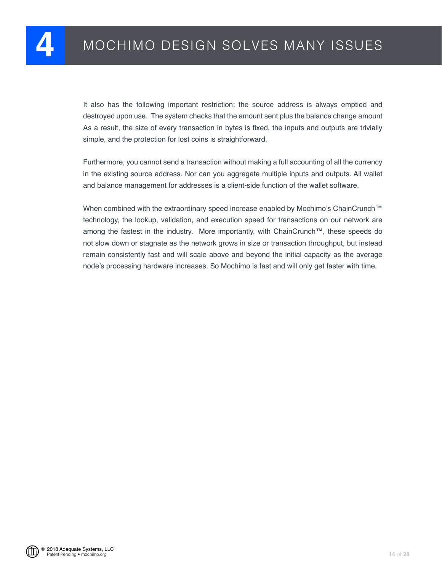It also has the following important restriction: the source address is always emptied and destroyed upon use. The system checks that the amount sent plus the balance change amount As a result, the size of every transaction in bytes is fixed, the inputs and outputs are trivially simple, and the protection for lost coins is straightforward.

Furthermore, you cannot send a transaction without making a full accounting of all the currency in the existing source address. Nor can you aggregate multiple inputs and outputs. All wallet and balance management for addresses is a client-side function of the wallet software.

When combined with the extraordinary speed increase enabled by Mochimo's ChainCrunch™ technology, the lookup, validation, and execution speed for transactions on our network are among the fastest in the industry. More importantly, with ChainCrunch™, these speeds do not slow down or stagnate as the network grows in size or transaction throughput, but instead remain consistently fast and will scale above and beyond the initial capacity as the average node's processing hardware increases. So Mochimo is fast and will only get faster with time.

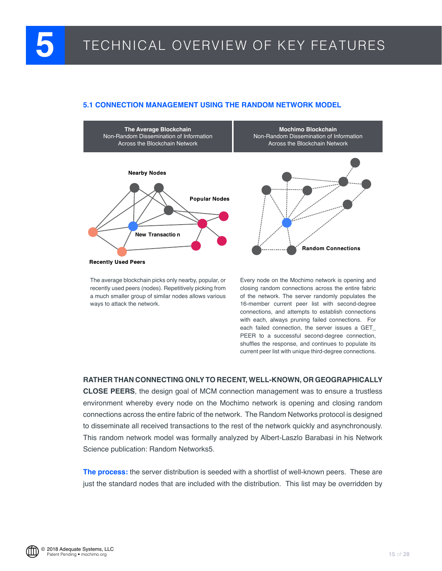## <span id="page-14-0"></span>**5** TECHNICAL OVERVIEW OF KEY FEATURES

#### **5.1 CONNECTION MANAGEMENT USING THE RANDOM NETWORK MODEL**



The average blockchain picks only nearby, popular, or recently used peers (nodes). Repetitively picking from a much smaller group of similar nodes allows various ways to attack the network.

Every node on the Mochimo network is opening and closing random connections across the entire fabric of the network. The server randomly populates the 16-member current peer list with second-degree connections, and attempts to establish connections with each, always pruning failed connections. For each failed connection, the server issues a GET\_ PEER to a successful second-degree connection, shuffles the response, and continues to populate its current peer list with unique third-degree connections.

#### **RATHER THAN CONNECTING ONLY TO RECENT, WELL-KNOWN, OR GEOGRAPHICALLY**

**CLOSE PEERS**, the design goal of MCM connection management was to ensure a trustless environment whereby every node on the Mochimo network is opening and closing random connections across the entire fabric of the network. The Random Networks protocol is designed to disseminate all received transactions to the rest of the network quickly and asynchronously. This random network model was formally analyzed by Albert-Laszlo Barabasi in his Network Science publication: Random Networks5.

**The process:** the server distribution is seeded with a shortlist of well-known peers. These are just the standard nodes that are included with the distribution. This list may be overridden by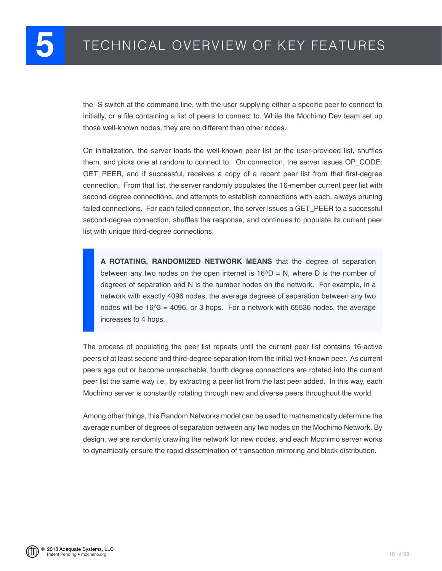the -S switch at the command line, with the user supplying either a specific peer to connect to initially, or a file containing a list of peers to connect to. While the Mochimo Dev team set up those well-known nodes, they are no different than other nodes.

On initialization, the server loads the well-known peer list or the user-provided list, shuffles them, and picks one at random to connect to. On connection, the server issues OP\_CODE: GET\_PEER, and if successful, receives a copy of a recent peer list from that first-degree connection. From that list, the server randomly populates the 16-member current peer list with second-degree connections, and attempts to establish connections with each, always pruning failed connections. For each failed connection, the server issues a GET PEER to a successful second-degree connection, shuffles the response, and continues to populate its current peer list with unique third-degree connections.

**A ROTATING, RANDOMIZED NETWORK MEANS** that the degree of separation between any two nodes on the open internet is  $16^{\circ}D = N$ , where D is the number of degrees of separation and N is the number nodes on the network. For example, in a network with exactly 4096 nodes, the average degrees of separation between any two nodes will be  $16^{\circ}3 = 4096$ , or 3 hops. For a network with 65536 nodes, the average increases to 4 hops.

The process of populating the peer list repeats until the current peer list contains 16-active peers of at least second and third-degree separation from the initial well-known peer. As current peers age out or become unreachable, fourth degree connections are rotated into the current peer list the same way i.e., by extracting a peer list from the last peer added. In this way, each Mochimo server is constantly rotating through new and diverse peers throughout the world.

Among other things, this Random Networks model can be used to mathematically determine the average number of degrees of separation between any two nodes on the Mochimo Network. By design, we are randomly crawling the network for new nodes, and each Mochimo server works to dynamically ensure the rapid dissemination of transaction mirroring and block distribution.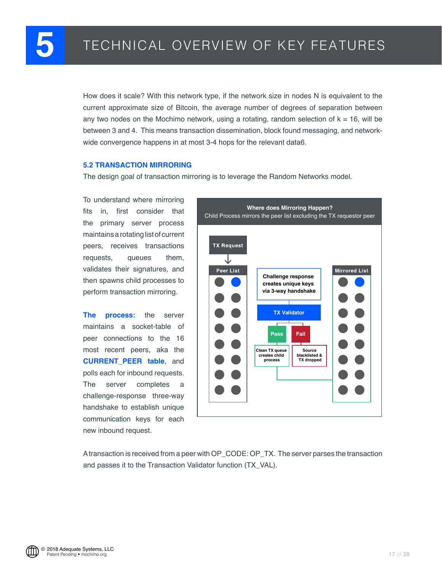<span id="page-16-0"></span>How does it scale? With this network type, if the network size in nodes N is equivalent to the current approximate size of Bitcoin, the average number of degrees of separation between any two nodes on the Mochimo network, using a rotating, random selection of  $k = 16$ , will be between 3 and 4. This means transaction dissemination, block found messaging, and networkwide convergence happens in at most 3-4 hops for the relevant data6.

#### **5.2 TRANSACTION MIRRORING**

The design goal of transaction mirroring is to leverage the Random Networks model.

To understand where mirroring fits in, first consider that the primary server process maintains a rotating list of current peers, receives transactions requests, queues them, validates their signatures, and then spawns child processes to perform transaction mirroring.

**The process:** the server maintains a socket-table of peer connections to the 16 most recent peers, aka the **CURRENT\_PEER table**, and polls each for inbound requests. The server completes a challenge-response three-way handshake to establish unique communication keys for each new inbound request.



A transaction is received from a peer with OP\_CODE: OP\_TX. The server parses the transaction and passes it to the Transaction Validator function (TX\_VAL).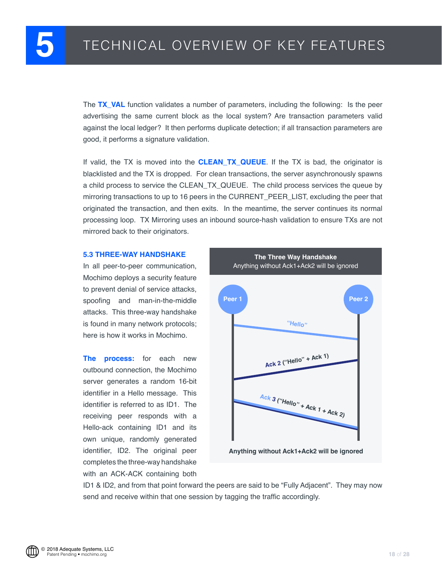<span id="page-17-0"></span>The **TX VAL** function validates a number of parameters, including the following: Is the peer advertising the same current block as the local system? Are transaction parameters valid against the local ledger? It then performs duplicate detection; if all transaction parameters are good, it performs a signature validation.

If valid, the TX is moved into the **CLEAN\_TX\_QUEUE**. If the TX is bad, the originator is blacklisted and the TX is dropped. For clean transactions, the server asynchronously spawns a child process to service the CLEAN\_TX\_QUEUE. The child process services the queue by mirroring transactions to up to 16 peers in the CURRENT\_PEER\_LIST, excluding the peer that originated the transaction, and then exits. In the meantime, the server continues its normal processing loop. TX Mirroring uses an inbound source-hash validation to ensure TXs are not mirrored back to their originators.

#### **5.3 THREE-WAY HANDSHAKE**

In all peer-to-peer communication, Mochimo deploys a security feature to prevent denial of service attacks, spoofing and man-in-the-middle attacks. This three-way handshake is found in many network protocols; here is how it works in Mochimo.

**The process:** for each new outbound connection, the Mochimo server generates a random 16-bit identifier in a Hello message. This identifier is referred to as ID1. The receiving peer responds with a Hello-ack containing ID1 and its own unique, randomly generated identifier, ID2. The original peer completes the three-way handshake with an ACK-ACK containing both



**Anything without Ack1+Ack2 will be ignored**

ID1 & ID2, and from that point forward the peers are said to be "Fully Adjacent". They may now send and receive within that one session by tagging the traffic accordingly.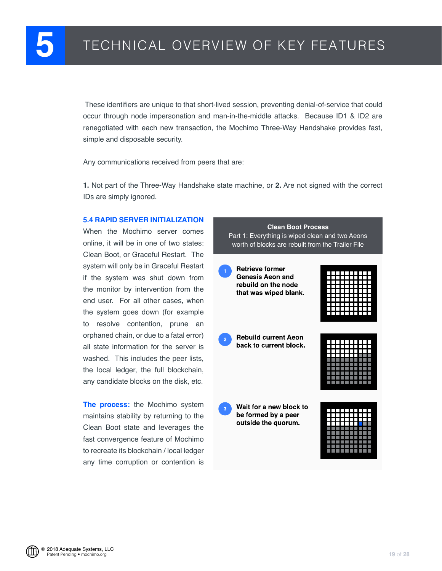<span id="page-18-0"></span> These identifiers are unique to that short-lived session, preventing denial-of-service that could occur through node impersonation and man-in-the-middle attacks. Because ID1 & ID2 are renegotiated with each new transaction, the Mochimo Three-Way Handshake provides fast, simple and disposable security.

Any communications received from peers that are:

**1.** Not part of the Three-Way Handshake state machine, or **2.** Are not signed with the correct IDs are simply ignored.

#### **5.4 RAPID SERVER INITIALIZATION**

When the Mochimo server comes online, it will be in one of two states: Clean Boot, or Graceful Restart. The system will only be in Graceful Restart if the system was shut down from the monitor by intervention from the end user. For all other cases, when the system goes down (for example to resolve contention, prune an orphaned chain, or due to a fatal error) all state information for the server is washed. This includes the peer lists, the local ledger, the full blockchain, any candidate blocks on the disk, etc.

**The process:** the Mochimo system maintains stability by returning to the Clean Boot state and leverages the fast convergence feature of Mochimo to recreate its blockchain / local ledger any time corruption or contention is

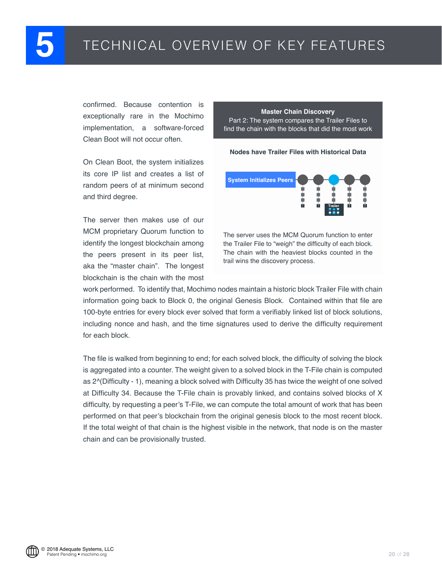confirmed. Because contention is exceptionally rare in the Mochimo implementation, a software-forced Clean Boot will not occur often.

On Clean Boot, the system initializes its core IP list and creates a list of random peers of at minimum second and third degree.

The server then makes use of our MCM proprietary Quorum function to identify the longest blockchain among the peers present in its peer list, aka the "master chain". The longest blockchain is the chain with the most

#### **Master Chain Discovery** Part 2: The system compares the Trailer Files to find the chain with the blocks that did the most work

**Nodes have Trailer Files with Historical Data**



The server uses the MCM Quorum function to enter the Trailer File to "weigh" the difficulty of each block. The chain with the heaviest blocks counted in the trail wins the discovery process.

work performed. To identify that, Mochimo nodes maintain a historic block Trailer File with chain information going back to Block 0, the original Genesis Block. Contained within that file are 100-byte entries for every block ever solved that form a verifiably linked list of block solutions, including nonce and hash, and the time signatures used to derive the difficulty requirement for each block.

The file is walked from beginning to end; for each solved block, the difficulty of solving the block is aggregated into a counter. The weight given to a solved block in the T-File chain is computed as 2^(Difficulty - 1), meaning a block solved with Difficulty 35 has twice the weight of one solved at Difficulty 34. Because the T-File chain is provably linked, and contains solved blocks of X difficulty, by requesting a peer's T-File, we can compute the total amount of work that has been performed on that peer's blockchain from the original genesis block to the most recent block. If the total weight of that chain is the highest visible in the network, that node is on the master chain and can be provisionally trusted.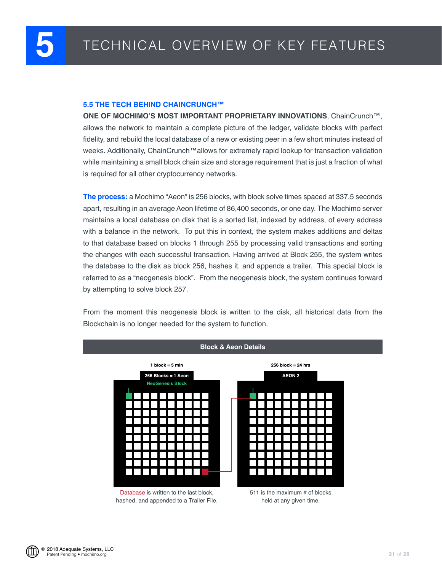#### <span id="page-20-0"></span>**5.5 THE TECH BEHIND CHAINCRUNCH™**

**ONE OF MOCHIMO'S MOST IMPORTANT PROPRIETARY INNOVATIONS**, ChainCrunch™, allows the network to maintain a complete picture of the ledger, validate blocks with perfect fidelity, and rebuild the local database of a new or existing peer in a few short minutes instead of weeks. Additionally, ChainCrunch™allows for extremely rapid lookup for transaction validation while maintaining a small block chain size and storage requirement that is just a fraction of what is required for all other cryptocurrency networks.

**The process:** a Mochimo "Aeon" is 256 blocks, with block solve times spaced at 337.5 seconds apart, resulting in an average Aeon lifetime of 86,400 seconds, or one day. The Mochimo server maintains a local database on disk that is a sorted list, indexed by address, of every address with a balance in the network. To put this in context, the system makes additions and deltas to that database based on blocks 1 through 255 by processing valid transactions and sorting the changes with each successful transaction. Having arrived at Block 255, the system writes the database to the disk as block 256, hashes it, and appends a trailer. This special block is referred to as a "neogenesis block". From the neogenesis block, the system continues forward by attempting to solve block 257.

From the moment this neogenesis block is written to the disk, all historical data from the Blockchain is no longer needed for the system to function.

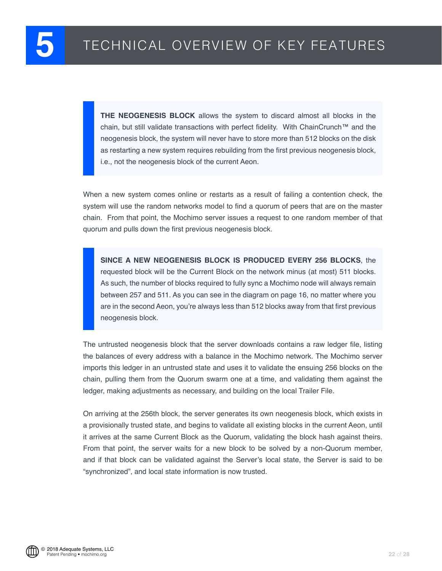**THE NEOGENESIS BLOCK** allows the system to discard almost all blocks in the chain, but still validate transactions with perfect fidelity. With ChainCrunch™ and the neogenesis block, the system will never have to store more than 512 blocks on the disk as restarting a new system requires rebuilding from the first previous neogenesis block, i.e., not the neogenesis block of the current Aeon.

When a new system comes online or restarts as a result of failing a contention check, the system will use the random networks model to find a quorum of peers that are on the master chain. From that point, the Mochimo server issues a request to one random member of that quorum and pulls down the first previous neogenesis block.

**SINCE A NEW NEOGENESIS BLOCK IS PRODUCED EVERY 256 BLOCKS**, the requested block will be the Current Block on the network minus (at most) 511 blocks. As such, the number of blocks required to fully sync a Mochimo node will always remain between 257 and 511. As you can see in the diagram on page 16, no matter where you are in the second Aeon, you're always less than 512 blocks away from that first previous neogenesis block.

The untrusted neogenesis block that the server downloads contains a raw ledger file, listing the balances of every address with a balance in the Mochimo network. The Mochimo server imports this ledger in an untrusted state and uses it to validate the ensuing 256 blocks on the chain, pulling them from the Quorum swarm one at a time, and validating them against the ledger, making adjustments as necessary, and building on the local Trailer File.

On arriving at the 256th block, the server generates its own neogenesis block, which exists in a provisionally trusted state, and begins to validate all existing blocks in the current Aeon, until it arrives at the same Current Block as the Quorum, validating the block hash against theirs. From that point, the server waits for a new block to be solved by a non-Quorum member, and if that block can be validated against the Server's local state, the Server is said to be "synchronized", and local state information is now trusted.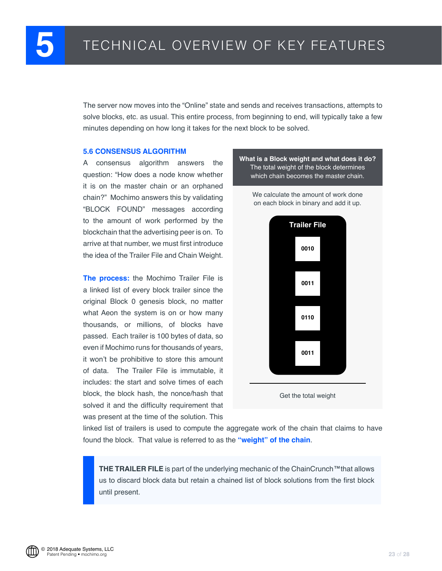<span id="page-22-0"></span>The server now moves into the "Online" state and sends and receives transactions, attempts to solve blocks, etc. as usual. This entire process, from beginning to end, will typically take a few minutes depending on how long it takes for the next block to be solved.

#### **5.6 CONSENSUS ALGORITHM**

A consensus algorithm answers the question: "How does a node know whether it is on the master chain or an orphaned chain?" Mochimo answers this by validating "BLOCK FOUND" messages according to the amount of work performed by the blockchain that the advertising peer is on. To arrive at that number, we must first introduce the idea of the Trailer File and Chain Weight.

**The process:** the Mochimo Trailer File is a linked list of every block trailer since the original Block 0 genesis block, no matter what Aeon the system is on or how many thousands, or millions, of blocks have passed. Each trailer is 100 bytes of data, so even if Mochimo runs for thousands of years, it won't be prohibitive to store this amount of data. The Trailer File is immutable, it includes: the start and solve times of each block, the block hash, the nonce/hash that solved it and the difficulty requirement that was present at the time of the solution. This

**What is a Block weight and what does it do?** The total weight of the block determines which chain becomes the master chain.

We calculate the amount of work done on each block in binary and add it up.



Get the total weight

linked list of trailers is used to compute the aggregate work of the chain that claims to have found the block. That value is referred to as the **"weight" of the chain**.

**THE TRAILER FILE** is part of the underlying mechanic of the ChainCrunch™that allows us to discard block data but retain a chained list of block solutions from the first block until present.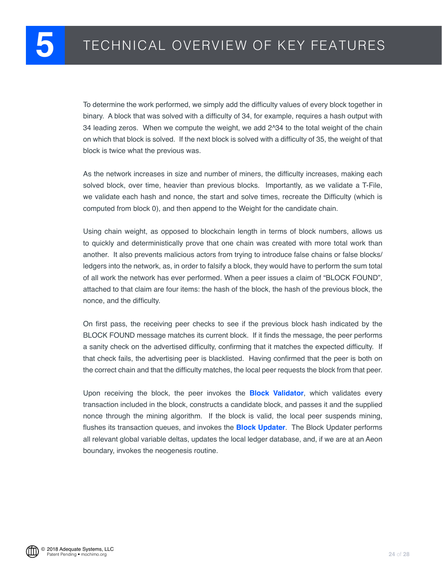To determine the work performed, we simply add the difficulty values of every block together in binary. A block that was solved with a difficulty of 34, for example, requires a hash output with 34 leading zeros. When we compute the weight, we add 2^34 to the total weight of the chain on which that block is solved. If the next block is solved with a difficulty of 35, the weight of that block is twice what the previous was.

As the network increases in size and number of miners, the difficulty increases, making each solved block, over time, heavier than previous blocks. Importantly, as we validate a T-File, we validate each hash and nonce, the start and solve times, recreate the Difficulty (which is computed from block 0), and then append to the Weight for the candidate chain.

Using chain weight, as opposed to blockchain length in terms of block numbers, allows us to quickly and deterministically prove that one chain was created with more total work than another. It also prevents malicious actors from trying to introduce false chains or false blocks/ ledgers into the network, as, in order to falsify a block, they would have to perform the sum total of all work the network has ever performed. When a peer issues a claim of "BLOCK FOUND", attached to that claim are four items: the hash of the block, the hash of the previous block, the nonce, and the difficulty.

On first pass, the receiving peer checks to see if the previous block hash indicated by the BLOCK FOUND message matches its current block. If it finds the message, the peer performs a sanity check on the advertised difficulty, confirming that it matches the expected difficulty. If that check fails, the advertising peer is blacklisted. Having confirmed that the peer is both on the correct chain and that the difficulty matches, the local peer requests the block from that peer.

Upon receiving the block, the peer invokes the **Block Validator**, which validates every transaction included in the block, constructs a candidate block, and passes it and the supplied nonce through the mining algorithm. If the block is valid, the local peer suspends mining, flushes its transaction queues, and invokes the **Block Updater**. The Block Updater performs all relevant global variable deltas, updates the local ledger database, and, if we are at an Aeon boundary, invokes the neogenesis routine.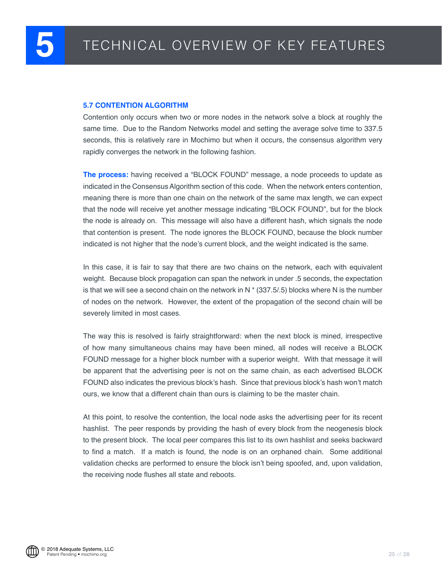#### <span id="page-24-0"></span>**5.7 CONTENTION ALGORITHM**

Contention only occurs when two or more nodes in the network solve a block at roughly the same time. Due to the Random Networks model and setting the average solve time to 337.5 seconds, this is relatively rare in Mochimo but when it occurs, the consensus algorithm very rapidly converges the network in the following fashion.

**The process:** having received a "BLOCK FOUND" message, a node proceeds to update as indicated in the Consensus Algorithm section of this code. When the network enters contention, meaning there is more than one chain on the network of the same max length, we can expect that the node will receive yet another message indicating "BLOCK FOUND", but for the block the node is already on. This message will also have a different hash, which signals the node that contention is present. The node ignores the BLOCK FOUND, because the block number indicated is not higher that the node's current block, and the weight indicated is the same.

In this case, it is fair to say that there are two chains on the network, each with equivalent weight. Because block propagation can span the network in under .5 seconds, the expectation is that we will see a second chain on the network in  $N^*$  (337.5/.5) blocks where N is the number of nodes on the network. However, the extent of the propagation of the second chain will be severely limited in most cases.

The way this is resolved is fairly straightforward: when the next block is mined, irrespective of how many simultaneous chains may have been mined, all nodes will receive a BLOCK FOUND message for a higher block number with a superior weight. With that message it will be apparent that the advertising peer is not on the same chain, as each advertised BLOCK FOUND also indicates the previous block's hash. Since that previous block's hash won't match ours, we know that a different chain than ours is claiming to be the master chain.

At this point, to resolve the contention, the local node asks the advertising peer for its recent hashlist. The peer responds by providing the hash of every block from the neogenesis block to the present block. The local peer compares this list to its own hashlist and seeks backward to find a match. If a match is found, the node is on an orphaned chain. Some additional validation checks are performed to ensure the block isn't being spoofed, and, upon validation, the receiving node flushes all state and reboots.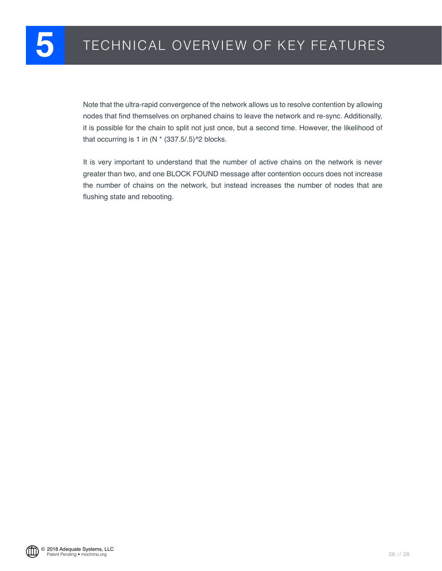Note that the ultra-rapid convergence of the network allows us to resolve contention by allowing nodes that find themselves on orphaned chains to leave the network and re-sync. Additionally, it is possible for the chain to split not just once, but a second time. However, the likelihood of that occurring is 1 in  $(N * (337.5/.5)^2)$  blocks.

It is very important to understand that the number of active chains on the network is never greater than two, and one BLOCK FOUND message after contention occurs does not increase the number of chains on the network, but instead increases the number of nodes that are flushing state and rebooting.

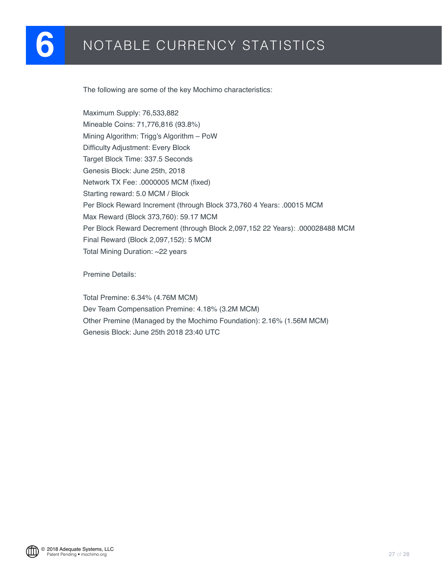<span id="page-26-0"></span>The following are some of the key Mochimo characteristics:

Maximum Supply: 76,533,882 Mineable Coins: 71,776,816 (93.8%) Mining Algorithm: Trigg's Algorithm – PoW Difficulty Adjustment: Every Block Target Block Time: 337.5 Seconds Genesis Block: June 25th, 2018 Network TX Fee: .0000005 MCM (fixed) Starting reward: 5.0 MCM / Block Per Block Reward Increment (through Block 373,760 4 Years: .00015 MCM Max Reward (Block 373,760): 59.17 MCM Per Block Reward Decrement (through Block 2,097,152 22 Years): .000028488 MCM Final Reward (Block 2,097,152): 5 MCM Total Mining Duration: ~22 years

Premine Details:

Total Premine: 6.34% (4.76M MCM) Dev Team Compensation Premine: 4.18% (3.2M MCM) Other Premine (Managed by the Mochimo Foundation): 2.16% (1.56M MCM) Genesis Block: June 25th 2018 23:40 UTC